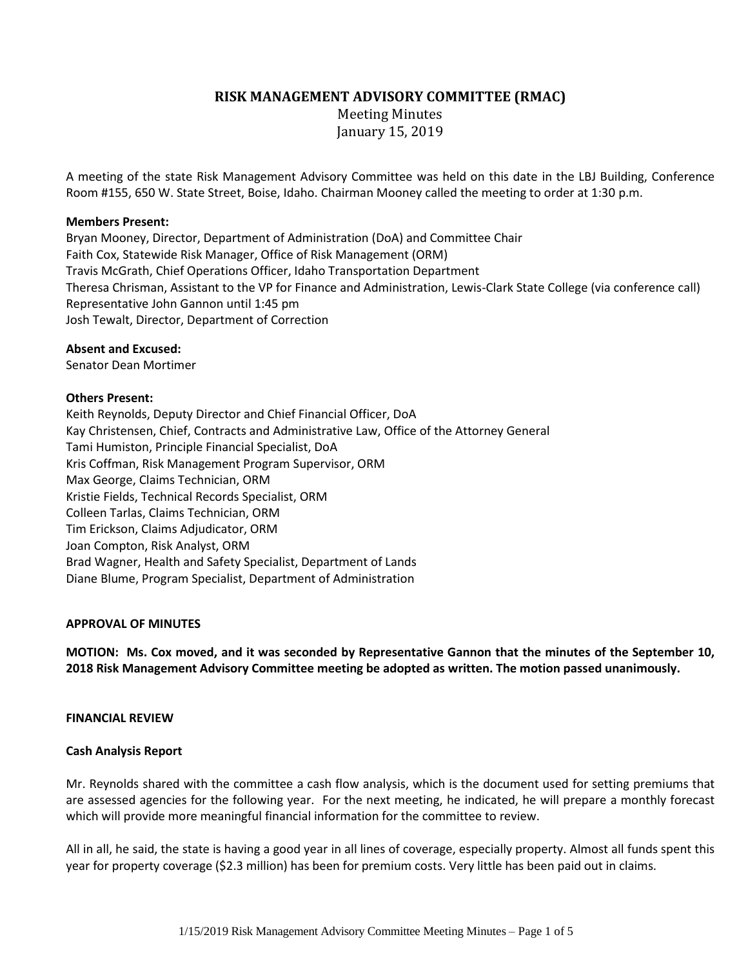# **RISK MANAGEMENT ADVISORY COMMITTEE (RMAC)**

Meeting Minutes January 15, 2019

A meeting of the state Risk Management Advisory Committee was held on this date in the LBJ Building, Conference Room #155, 650 W. State Street, Boise, Idaho. Chairman Mooney called the meeting to order at 1:30 p.m.

### **Members Present:**

Bryan Mooney, Director, Department of Administration (DoA) and Committee Chair Faith Cox, Statewide Risk Manager, Office of Risk Management (ORM) Travis McGrath, Chief Operations Officer, Idaho Transportation Department Theresa Chrisman, Assistant to the VP for Finance and Administration, Lewis-Clark State College (via conference call) Representative John Gannon until 1:45 pm Josh Tewalt, Director, Department of Correction

## **Absent and Excused:**

Senator Dean Mortimer

## **Others Present:**

Keith Reynolds, Deputy Director and Chief Financial Officer, DoA Kay Christensen, Chief, Contracts and Administrative Law, Office of the Attorney General Tami Humiston, Principle Financial Specialist, DoA Kris Coffman, Risk Management Program Supervisor, ORM Max George, Claims Technician, ORM Kristie Fields, Technical Records Specialist, ORM Colleen Tarlas, Claims Technician, ORM Tim Erickson, Claims Adjudicator, ORM Joan Compton, Risk Analyst, ORM Brad Wagner, Health and Safety Specialist, Department of Lands Diane Blume, Program Specialist, Department of Administration

# **APPROVAL OF MINUTES**

**MOTION: Ms. Cox moved, and it was seconded by Representative Gannon that the minutes of the September 10, 2018 Risk Management Advisory Committee meeting be adopted as written. The motion passed unanimously.**

### **FINANCIAL REVIEW**

### **Cash Analysis Report**

Mr. Reynolds shared with the committee a cash flow analysis, which is the document used for setting premiums that are assessed agencies for the following year. For the next meeting, he indicated, he will prepare a monthly forecast which will provide more meaningful financial information for the committee to review.

All in all, he said, the state is having a good year in all lines of coverage, especially property. Almost all funds spent this year for property coverage (\$2.3 million) has been for premium costs. Very little has been paid out in claims.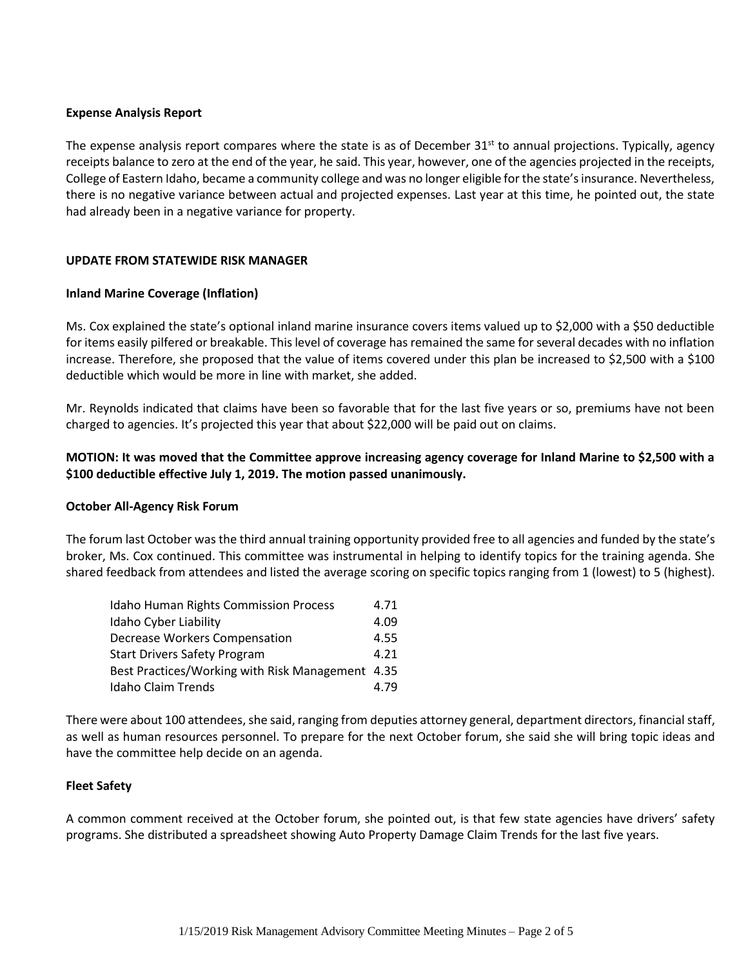## **Expense Analysis Report**

The expense analysis report compares where the state is as of December  $31<sup>st</sup>$  to annual projections. Typically, agency receipts balance to zero at the end of the year, he said. This year, however, one of the agencies projected in the receipts, College of Eastern Idaho, became a community college and was no longer eligible for the state's insurance. Nevertheless, there is no negative variance between actual and projected expenses. Last year at this time, he pointed out, the state had already been in a negative variance for property.

## **UPDATE FROM STATEWIDE RISK MANAGER**

## **Inland Marine Coverage (Inflation)**

Ms. Cox explained the state's optional inland marine insurance covers items valued up to \$2,000 with a \$50 deductible for items easily pilfered or breakable. This level of coverage has remained the same for several decades with no inflation increase. Therefore, she proposed that the value of items covered under this plan be increased to \$2,500 with a \$100 deductible which would be more in line with market, she added.

Mr. Reynolds indicated that claims have been so favorable that for the last five years or so, premiums have not been charged to agencies. It's projected this year that about \$22,000 will be paid out on claims.

# **MOTION: It was moved that the Committee approve increasing agency coverage for Inland Marine to \$2,500 with a \$100 deductible effective July 1, 2019. The motion passed unanimously.**

### **October All-Agency Risk Forum**

The forum last October was the third annual training opportunity provided free to all agencies and funded by the state's broker, Ms. Cox continued. This committee was instrumental in helping to identify topics for the training agenda. She shared feedback from attendees and listed the average scoring on specific topics ranging from 1 (lowest) to 5 (highest).

| <b>Idaho Human Rights Commission Process</b>     | 4.71 |
|--------------------------------------------------|------|
| Idaho Cyber Liability                            | 4.09 |
| <b>Decrease Workers Compensation</b>             | 4.55 |
| <b>Start Drivers Safety Program</b>              | 4.21 |
| Best Practices/Working with Risk Management 4.35 |      |
| <b>Idaho Claim Trends</b>                        | 4.79 |

There were about 100 attendees, she said, ranging from deputies attorney general, department directors, financial staff, as well as human resources personnel. To prepare for the next October forum, she said she will bring topic ideas and have the committee help decide on an agenda.

# **Fleet Safety**

A common comment received at the October forum, she pointed out, is that few state agencies have drivers' safety programs. She distributed a spreadsheet showing Auto Property Damage Claim Trends for the last five years.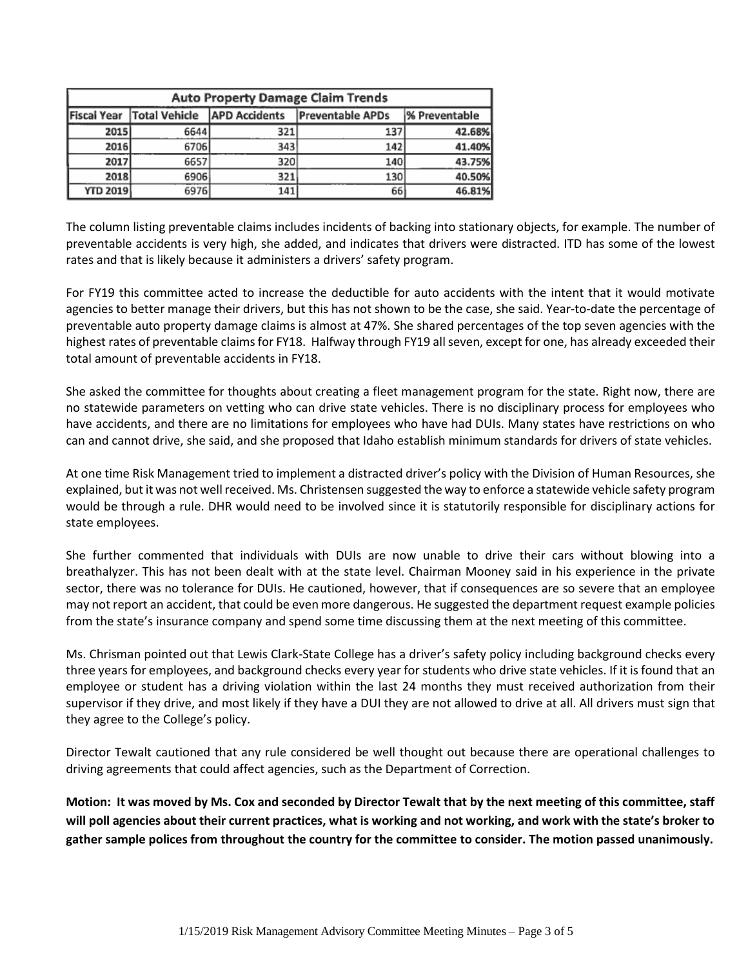| <b>Auto Property Damage Claim Trends</b> |                      |                      |                         |               |  |
|------------------------------------------|----------------------|----------------------|-------------------------|---------------|--|
| <b>Fiscal Year</b>                       | <b>Total Vehicle</b> | <b>APD Accidents</b> | <b>Preventable APDs</b> | % Preventable |  |
| 2015                                     | 6644                 | 321                  | 137                     | 42.68%        |  |
| 2016                                     | 6706                 | 343                  | 142                     | 41.40%        |  |
| 2017                                     | 6657                 | 320                  | 140                     | 43.75%        |  |
| 2018                                     | 6906                 | 321                  | 130                     | 40.50%        |  |
| <b>YTD 2019</b>                          | 6976                 | 141                  | 66                      | 46.81%        |  |

The column listing preventable claims includes incidents of backing into stationary objects, for example. The number of preventable accidents is very high, she added, and indicates that drivers were distracted. ITD has some of the lowest rates and that is likely because it administers a drivers' safety program.

For FY19 this committee acted to increase the deductible for auto accidents with the intent that it would motivate agencies to better manage their drivers, but this has not shown to be the case, she said. Year-to-date the percentage of preventable auto property damage claims is almost at 47%. She shared percentages of the top seven agencies with the highest rates of preventable claims for FY18. Halfway through FY19 all seven, except for one, has already exceeded their total amount of preventable accidents in FY18.

She asked the committee for thoughts about creating a fleet management program for the state. Right now, there are no statewide parameters on vetting who can drive state vehicles. There is no disciplinary process for employees who have accidents, and there are no limitations for employees who have had DUIs. Many states have restrictions on who can and cannot drive, she said, and she proposed that Idaho establish minimum standards for drivers of state vehicles.

At one time Risk Management tried to implement a distracted driver's policy with the Division of Human Resources, she explained, but it was not well received. Ms. Christensen suggested the way to enforce a statewide vehicle safety program would be through a rule. DHR would need to be involved since it is statutorily responsible for disciplinary actions for state employees.

She further commented that individuals with DUIs are now unable to drive their cars without blowing into a breathalyzer. This has not been dealt with at the state level. Chairman Mooney said in his experience in the private sector, there was no tolerance for DUIs. He cautioned, however, that if consequences are so severe that an employee may not report an accident, that could be even more dangerous. He suggested the department request example policies from the state's insurance company and spend some time discussing them at the next meeting of this committee.

Ms. Chrisman pointed out that Lewis Clark-State College has a driver's safety policy including background checks every three years for employees, and background checks every year for students who drive state vehicles. If it is found that an employee or student has a driving violation within the last 24 months they must received authorization from their supervisor if they drive, and most likely if they have a DUI they are not allowed to drive at all. All drivers must sign that they agree to the College's policy.

Director Tewalt cautioned that any rule considered be well thought out because there are operational challenges to driving agreements that could affect agencies, such as the Department of Correction.

**Motion: It was moved by Ms. Cox and seconded by Director Tewalt that by the next meeting of this committee, staff will poll agencies about their current practices, what is working and not working, and work with the state's broker to gather sample polices from throughout the country for the committee to consider. The motion passed unanimously.**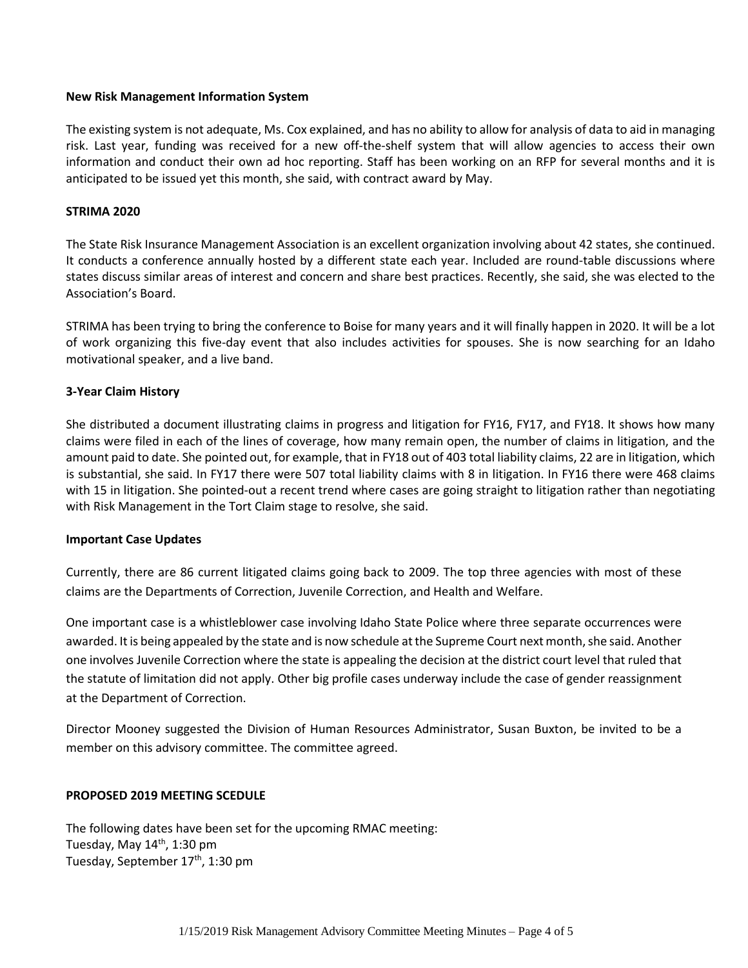### **New Risk Management Information System**

The existing system is not adequate, Ms. Cox explained, and has no ability to allow for analysis of data to aid in managing risk. Last year, funding was received for a new off-the-shelf system that will allow agencies to access their own information and conduct their own ad hoc reporting. Staff has been working on an RFP for several months and it is anticipated to be issued yet this month, she said, with contract award by May.

## **STRIMA 2020**

The State Risk Insurance Management Association is an excellent organization involving about 42 states, she continued. It conducts a conference annually hosted by a different state each year. Included are round-table discussions where states discuss similar areas of interest and concern and share best practices. Recently, she said, she was elected to the Association's Board.

STRIMA has been trying to bring the conference to Boise for many years and it will finally happen in 2020. It will be a lot of work organizing this five-day event that also includes activities for spouses. She is now searching for an Idaho motivational speaker, and a live band.

## **3-Year Claim History**

She distributed a document illustrating claims in progress and litigation for FY16, FY17, and FY18. It shows how many claims were filed in each of the lines of coverage, how many remain open, the number of claims in litigation, and the amount paid to date. She pointed out, for example, that in FY18 out of 403 total liability claims, 22 are in litigation, which is substantial, she said. In FY17 there were 507 total liability claims with 8 in litigation. In FY16 there were 468 claims with 15 in litigation. She pointed-out a recent trend where cases are going straight to litigation rather than negotiating with Risk Management in the Tort Claim stage to resolve, she said.

### **Important Case Updates**

Currently, there are 86 current litigated claims going back to 2009. The top three agencies with most of these claims are the Departments of Correction, Juvenile Correction, and Health and Welfare.

One important case is a whistleblower case involving Idaho State Police where three separate occurrences were awarded. It is being appealed by the state and is now schedule at the Supreme Court next month, she said. Another one involves Juvenile Correction where the state is appealing the decision at the district court level that ruled that the statute of limitation did not apply. Other big profile cases underway include the case of gender reassignment at the Department of Correction.

Director Mooney suggested the Division of Human Resources Administrator, Susan Buxton, be invited to be a member on this advisory committee. The committee agreed.

### **PROPOSED 2019 MEETING SCEDULE**

The following dates have been set for the upcoming RMAC meeting: Tuesday, May 14<sup>th</sup>, 1:30 pm Tuesday, September 17<sup>th</sup>, 1:30 pm